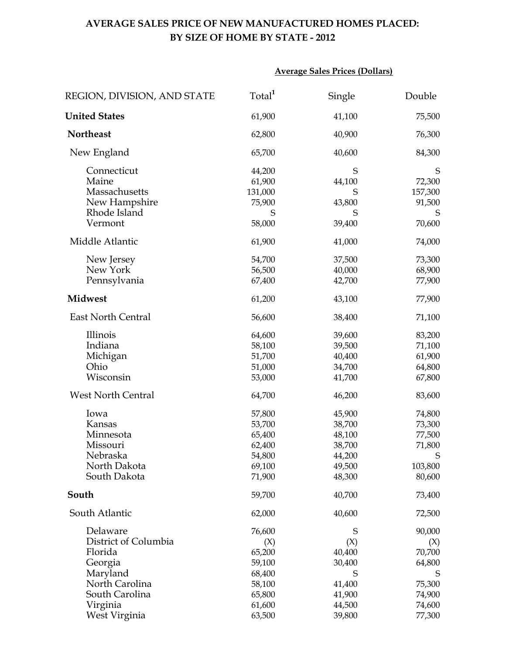## **AVERAGE SALES PRICE OF NEW MANUFACTURED HOMES PLACED: BY SIZE OF HOME BY STATE - 2012**

|                                                                                                        | <b>Average Sales Prices (Dollars)</b>                              |                                                                    |                                                                |
|--------------------------------------------------------------------------------------------------------|--------------------------------------------------------------------|--------------------------------------------------------------------|----------------------------------------------------------------|
| REGION, DIVISION, AND STATE                                                                            | Total <sup>1</sup>                                                 | Single                                                             | Double                                                         |
| <b>United States</b>                                                                                   | 61,900                                                             | 41,100                                                             | 75,500                                                         |
| <b>Northeast</b>                                                                                       | 62,800                                                             | 40,900                                                             | 76,300                                                         |
| New England                                                                                            | 65,700                                                             | 40,600                                                             | 84,300                                                         |
| Connecticut<br>Maine<br>Massachusetts<br>New Hampshire<br>Rhode Island<br>Vermont                      | 44,200<br>61,900<br>131,000<br>75,900<br>S<br>58,000               | S<br>44,100<br>S<br>43,800<br>S<br>39,400                          | S<br>72,300<br>157,300<br>91,500<br>S<br>70,600                |
| Middle Atlantic                                                                                        | 61,900                                                             | 41,000                                                             | 74,000                                                         |
| New Jersey<br>New York<br>Pennsylvania                                                                 | 54,700<br>56,500<br>67,400                                         | 37,500<br>40,000<br>42,700                                         | 73,300<br>68,900<br>77,900                                     |
| <b>Midwest</b>                                                                                         | 61,200                                                             | 43,100                                                             | 77,900                                                         |
| <b>East North Central</b>                                                                              | 56,600                                                             | 38,400                                                             | 71,100                                                         |
| Illinois<br>Indiana<br>Michigan<br>Ohio<br>Wisconsin                                                   | 64,600<br>58,100<br>51,700<br>51,000<br>53,000                     | 39,600<br>39,500<br>40,400<br>34,700<br>41,700                     | 83,200<br>71,100<br>61,900<br>64,800<br>67,800                 |
| <b>West North Central</b>                                                                              | 64,700                                                             | 46,200                                                             | 83,600                                                         |
| Iowa<br>Kansas<br>Minnesota<br>Missouri<br>Nebraska<br>North Dakota<br>South Dakota                    | 57,800<br>53,700<br>65,400<br>62,400<br>54,800<br>69,100<br>71,900 | 45,900<br>38,700<br>48,100<br>38,700<br>44,200<br>49,500<br>48,300 | 74,800<br>73,300<br>77,500<br>71,800<br>S<br>103,800<br>80,600 |
| South                                                                                                  | 59,700                                                             | 40,700                                                             | 73,400                                                         |
| South Atlantic                                                                                         | 62,000                                                             | 40,600                                                             | 72,500                                                         |
| Delaware<br>District of Columbia<br>Florida<br>Georgia<br>Maryland<br>North Carolina<br>South Carolina | 76,600<br>(X)<br>65,200<br>59,100<br>68,400<br>58,100<br>65,800    | S<br>(X)<br>40,400<br>30,400<br>S<br>41,400<br>41,900              | 90,000<br>(X)<br>70,700<br>64,800<br>S<br>75,300<br>74,900     |
| Virginia<br>West Virginia                                                                              | 61,600<br>63,500                                                   | 44,500<br>39,800                                                   | 74,600<br>77,300                                               |